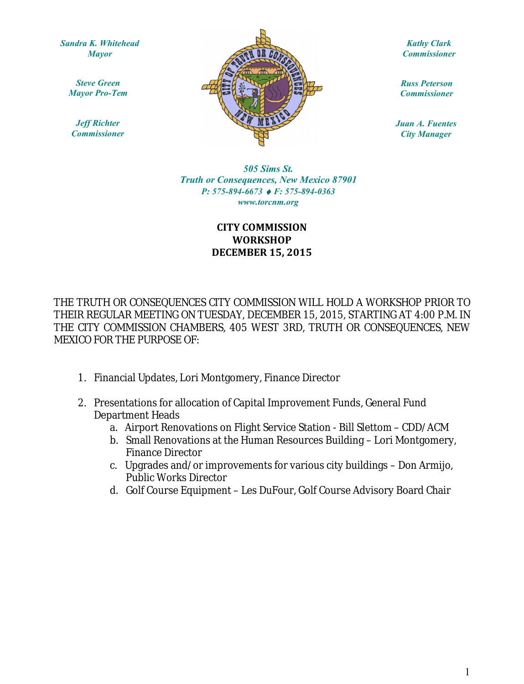*Sandra K. Whitehead Mayor*

*Steve Green Mayor Pro-Tem*

*Jeff Richter Commissioner*



*Kathy Clark Commissioner*

*Russ Peterson Commissioner*

*Juan A. Fuentes City Manager*

www.torcnm.org *505 Sims St. Truth or Consequences, New Mexico 87901 P: 575-894-6673 F: 575-894-0363*

## **CITY COMMISSION WORKSHOP DECEMBER 15, 2015**

THE TRUTH OR CONSEQUENCES CITY COMMISSION WILL HOLD A WORKSHOP PRIOR TO THEIR REGULAR MEETING ON TUESDAY, DECEMBER 15, 2015, STARTING AT 4:00 P.M. IN THE CITY COMMISSION CHAMBERS, 405 WEST 3RD, TRUTH OR CONSEQUENCES, NEW MEXICO FOR THE PURPOSE OF:

- 1. Financial Updates, Lori Montgomery, Finance Director
- 2. Presentations for allocation of Capital Improvement Funds, General Fund Department Heads
	- a. Airport Renovations on Flight Service Station Bill Slettom CDD/ACM
	- b. Small Renovations at the Human Resources Building Lori Montgomery, Finance Director
	- c. Upgrades and/or improvements for various city buildings Don Armijo, Public Works Director
	- d. Golf Course Equipment Les DuFour, Golf Course Advisory Board Chair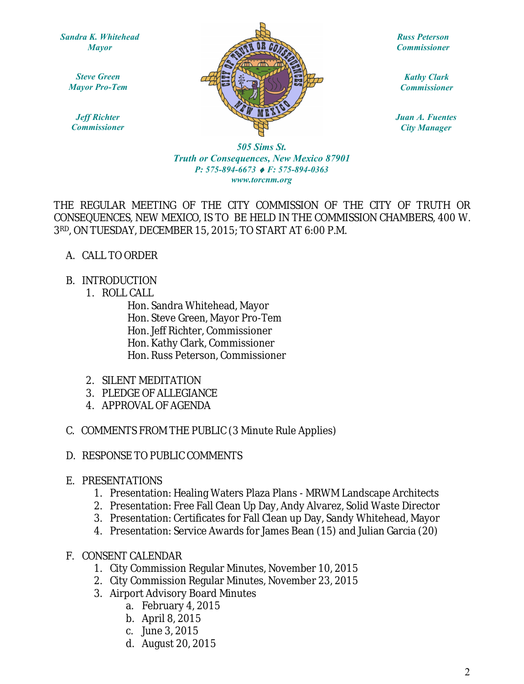*Sandra K. Whitehead Mayor*

> *Steve Green Mayor Pro-Tem*

*Jeff Richter Commissioner*



*Russ Peterson Commissioner*

*Kathy Clark Commissioner*

*Juan A. Fuentes City Manager*

*505 Sims St. Truth or Consequences, New Mexico 87901 P: 575-894-6673 F: 575-894-0363 www.torcnm.org*

THE REGULAR MEETING OF THE CITY COMMISSION OF THE CITY OF TRUTH OR CONSEQUENCES, NEW MEXICO, IS TO BE HELD IN THE COMMISSION CHAMBERS, 400 W. 3RD, ON TUESDAY, DECEMBER 15, 2015; TO START AT 6:00 P.M.

- A. CALL TO ORDER
- B. INTRODUCTION
	- 1. ROLL CALL

Hon. Sandra Whitehead, Mayor Hon. Steve Green, Mayor Pro-Tem Hon. Jeff Richter, Commissioner Hon. Kathy Clark, Commissioner Hon. Russ Peterson, Commissioner

- 2. SILENT MEDITATION
- 3. PLEDGE OF ALLEGIANCE
- 4. APPROVAL OF AGENDA
- C. COMMENTS FROM THE PUBLIC (3 Minute Rule Applies)
- D. RESPONSE TO PUBLIC COMMENTS
- E. PRESENTATIONS
	- 1. Presentation: Healing Waters Plaza Plans MRWM Landscape Architects
	- 2. Presentation: Free Fall Clean Up Day, Andy Alvarez, Solid Waste Director
	- 3. Presentation: Certificates for Fall Clean up Day, Sandy Whitehead, Mayor
	- 4. Presentation: Service Awards for James Bean (15) and Julian Garcia (20)
- F. CONSENT CALENDAR
	- 1. City Commission Regular Minutes, November 10, 2015
	- 2. City Commission Regular Minutes, November 23, 2015
	- 3. Airport Advisory Board Minutes
		- a. February 4, 2015
		- b. April 8, 2015
		- c. June 3, 2015
		- d. August 20, 2015